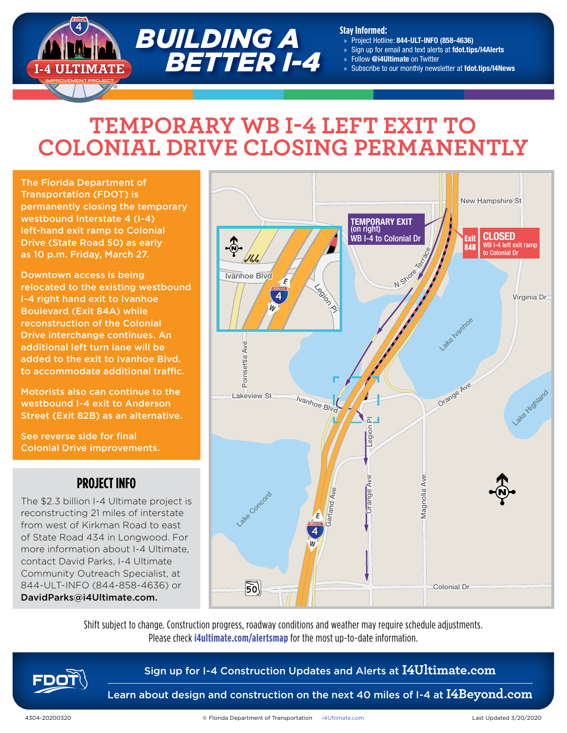

#### **Stay Informed:**

- » Project Hotline: 844-ULT-INFO (858-4636)
- Sign up for email and text alerts at fdot.tips/I4Alerts
- » Follow @i4Ultimate on Twitter
- Subscribe to our monthly newsletter at fdot.tips/I4News

# **TEMPORARY WB I-4 LEFT EXIT TO COLONIAL DRIVE CLOSING PERMANENTLY**

The Florida Department of Transportation (FDOT) is permanently closing the temporary westbound Interstate 4 (I-4) left-hand exit ramp to Colonial Drive (State Road 50) as early as 10 p.m. Friday, March 27.

Downtown access is being relocated to the existing westbound I-4 right hand exit to Ivanhoe Boulevard (Exit 84A) while reconstruction of the Colonial Drive interchange continues. An additional left turn lane will be added to the exit to Ivanhoe Blvd. to accommodate additional traffic.

Motorists also can continue to the westbound I-4 exit to Anderson Street (Exit 82B) as an alternative.

See reverse side for final Colonial Drive improvements.

## **PROJECT INFO**

The \$2.3 billion I-4 Ultimate project is reconstructing 21 miles of interstate from west of Kirkman Road to east of State Road 434 in Longwood. For more information about I-4 Ultimate, contact David Parks, I-4 Ultimate Community Outreach Specialist, at 844-ULT-INFO (844-858-4636) or DavidParks@i4Ultimate.com.



Shift subject to change. Construction progress, roadway conditions and weather may require schedule adjustments. Please check **i4ultimate.com/alertsmap** for the most up-to-date information.



## Sign up for I-4 Construction Updates and Alerts at **I4Ultimate.com**

Learn about design and construction on the next 40 miles of I-4 at **I4Beyond.com**